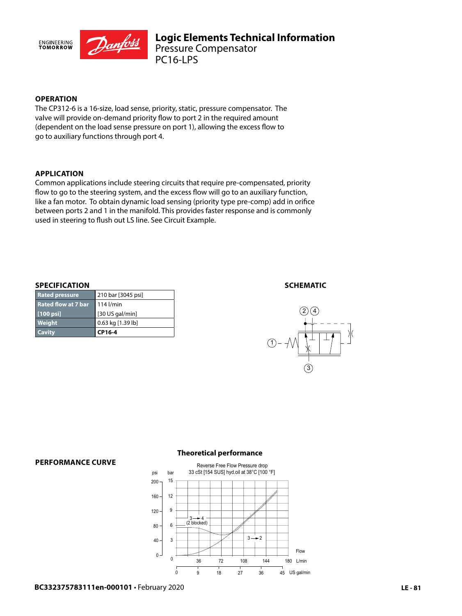

# **OPERATION**

The CP312-6 is a 16-size, load sense, priority, static, pressure compensator. The valve will provide on-demand priority flow to port 2 in the required amount (dependent on the load sense pressure on port 1), allowing the excess flow to go to auxiliary functions through port 4.

## **APPLICATION**

Common applications include steering circuits that require pre-compensated, priority flow to go to the steering system, and the excess flow will go to an auxiliary function, like a fan motor. To obtain dynamic load sensing (priority type pre-comp) add in orifice between ports 2 and 1 in the manifold. This provides faster response and is commonly used in steering to flush out LS line. See Circuit Example.

## **SPECIFICATION**

| <b>Cavity</b>              | CP16-4             |
|----------------------------|--------------------|
| Weight                     | 0.63 kg [1.39 lb]  |
| $[100 \text{ psi}]$        | [30 US gal/min]    |
| <b>Rated flow at 7 bar</b> | $114$ l/min        |
| <b>Rated pressure</b>      | 210 bar [3045 psi] |

## **SCHEMATIC**



#### **PERFORMANCE CURVE**

## **Theoretical performance**